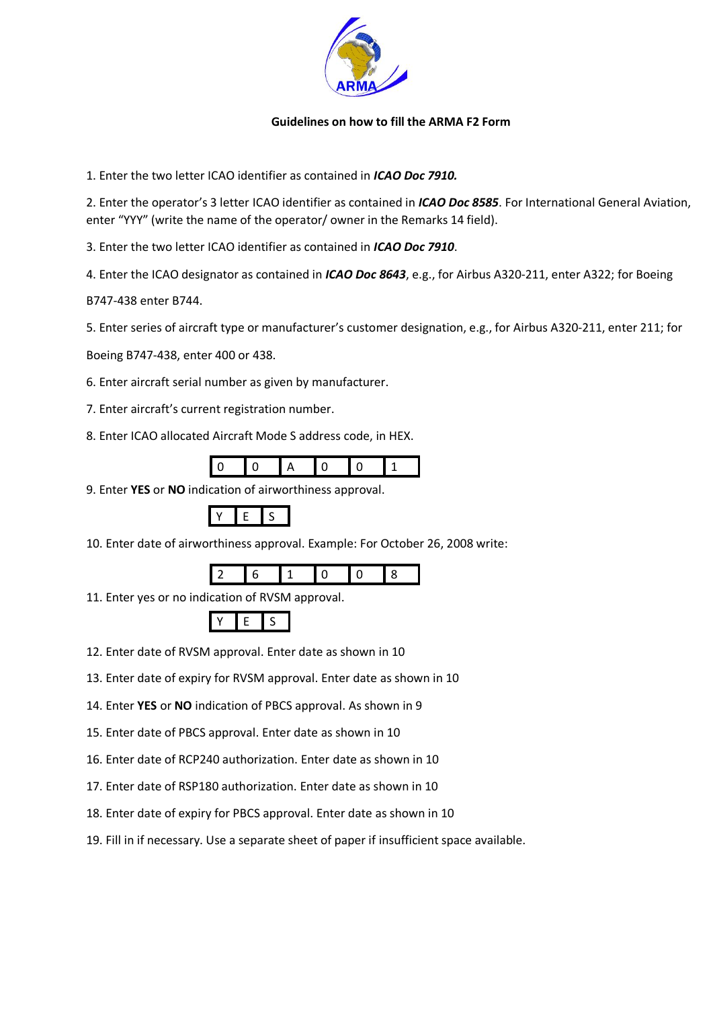

## **Guidelines on how to fill the ARMA F2 Form**

1. Enter the two letter ICAO identifier as contained in *ICAO Doc 7910.*

2. Enter the operator's 3 letter ICAO identifier as contained in *ICAO Doc 8585*. For International General Aviation, enter "YYY" (write the name of the operator/ owner in the Remarks 14 field).

3. Enter the two letter ICAO identifier as contained in *ICAO Doc 7910*.

4. Enter the ICAO designator as contained in *ICAO Doc 8643*, e.g., for Airbus A320‐211, enter A322; for Boeing

B747‐438 enter B744.

5. Enter series of aircraft type or manufacturer's customer designation, e.g., for Airbus A320-211, enter 211; for

Boeing B747‐438, enter 400 or 438.

6. Enter aircraft serial number as given by manufacturer.

- 7. Enter aircraft's current registration number.
- 8. Enter ICAO allocated Aircraft Mode S address code, in HEX.

9. Enter **YES** or **NO** indication of airworthiness approval.



10. Enter date of airworthiness approval. Example: For October 26, 2008 write:



11. Enter yes or no indication of RVSM approval.



12. Enter date of RVSM approval. Enter date as shown in 10

- 13. Enter date of expiry for RVSM approval. Enter date as shown in 10
- 14. Enter **YES** or **NO** indication of PBCS approval. As shown in 9
- 15. Enter date of PBCS approval. Enter date as shown in 10
- 16. Enter date of RCP240 authorization. Enter date as shown in 10
- 17. Enter date of RSP180 authorization. Enter date as shown in 10
- 18. Enter date of expiry for PBCS approval. Enter date as shown in 10
- 19. Fill in if necessary. Use a separate sheet of paper if insufficient space available.